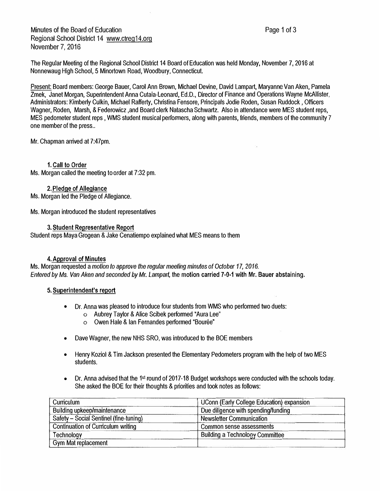Minutes of the Board of Education Regional School District 14 www.ctreg14.org November 7, 2016

The Regular Meeting of the Regional School District 14 Board of Education was held Monday, November 7, 2016 at Nonnewaug High School, 5 Minortown Road, Woodbury, Connecticut.

Present: Board members: George Bauer, Carol Ann Brown, Michael Devine, David Lampart, Maryanne Van Aken, Pamela Zmek, Janet Morgan, Superintendent Anna Cutaia-Leonard, Ed.D., Director of Finance and Operations Wayne McAllister, Administrators: Kimberly Culkin, Michael Rafferty, Christina Fensore, Principals Jodie Roden, Susan Ruddock, Officers Wagner, Roden, Marsh, & Federowicz ,and Board clerk Natascha Schwartz. Also in attendance were MES student reps, MES pedometer student reps, WMS student musical performers, along with parents, friends, members of the community 7 one member of the press..

Mr. Chapman arrived at 7:47pm.

#### 1. Call to Order

Ms. Morgan called the meeting to order at 7:32 pm.

# 2. Pledge of Allegiance

Ms. Morgan led the Pledge of Allegiance.

Ms. Morgan introduced the student representatives

#### 3. Student Representative Report

Student reps Maya Grogean & Jake Cenatiempo explained what MES means to them

#### 4.Approval of Minutes

Ms. Morgan requested a *motion to approve the regular meeting minutes of October 17, 2016. EnteredbyMs. Van Aken andsecondedby Mr. Lampart,* the motion carried 7-0·1 with Mr. Bauer abstaining.

#### 5. Superintendent's report

- Dr. Anna was pleased to introduce four students from WMS who performed two duets:
	- o Aubrey Taylor & Alice Scibek performed 'Aura Lee"
	- $\circ$  Owen Hale & Ian Fernandes performed "Bourée"
- •Dave Wagner, the new NHS SRO, was introduced to the BOE members
- Henry Koziol & Tim Jackson presented the Elementary Pedometers program with the help of two MES students.
- Dr. Anna advised that the 1<sup>st</sup> round of 2017-18 Budget workshops were conducted with the schools today. She asked the BOE for their thoughts & priorities and took notes as follows:

| <b>Curriculum</b>                         | UConn (Early College Education) expansion |
|-------------------------------------------|-------------------------------------------|
| <b>Building upkeep/maintenance</b>        | Due diligence with spending/funding       |
| Safety - Social Sentinel (fine-tuning)    | <b>Newsletter Communication</b>           |
| <b>Continuation of Curriculum writing</b> | Common sense assessments                  |
| Technology                                | <b>Building a Technology Committee</b>    |
| <b>Gym Mat replacement</b>                |                                           |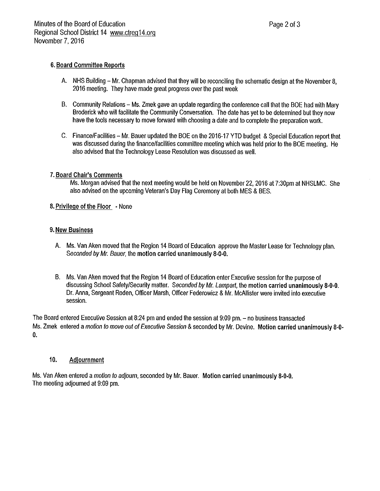# 6. Board Committee Reports

- A. NHS Building Mr. Chapman advised that they will be reconciling the schematic design at the November 8. 2016 meeting. They have made great progress over the past week
- B. Community Relations Ms. Zmek gave an update regarding the conference call that the BOE had with Mary Broderick who will facilitate the Community Conversation. The date has yet to be determined but they now have the tools necessary to move forward with choosing a date and to complete the preparation work.
- C. Finance/Facilities Mr. Bauer updated the BOE on the 2016-17 YTD budget & Special Education report that was discussed during the finance/facilities committee meeting which was held prior to the BOE meeting. He also advised that the Technology Lease Resolution was discussed as well.

## 7. Board Chair's Comments

Ms. Morgan advised that the next meeting would be held on November 22, 2016 at 7:30pm at NHSLMC. She also advised on the upcoming Veteran's Day Flag Ceremony at both MES & BES.

## 8. Privilege of the Floor - None

## 9. New Business

- A. Ms. Van Aken moved that the Region 14 Board of Education approve the Master Lease for Technology plan. Seconded by Mr. Bauer, the motion carried unanimously 8-0-0.
- B. Ms. Van Aken moved that the Region 14 Board of Education enter Executive session for the purpose of discussing School Safety/Security matter. Seconded by Mr. Lampart, the motion carried unanimously 8-0-0. Dr. Anna, Sergeant Roden, Officer Marsh, Officer Federowicz & Mr. McAllister were invited into executive session.

The Board entered Executive Session at 8:24 pm and ended the session at 9:09 pm. - no business transacted Ms. Zmek entered a motion to move out of Executive Session & seconded by Mr. Devine. Motion carried unanimously 8-0- $\mathbf{0}$ 

#### $10<sub>1</sub>$ Adiournment

Ms. Van Aken entered a motion to adjourn, seconded by Mr. Bauer. Motion carried unanimously 8-0-0. The meeting adjourned at 9:09 pm.